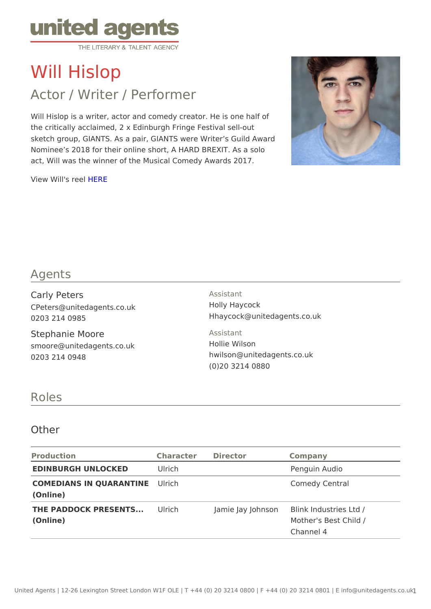# Will Hislop

# Actor / Writer / Performer

Will Hislop is a writer, actor and comedy creator. He is one half of the critically acclaimed, 2 x Edinburgh Fringe Festival sell-out sketch group, GIANTS. As a pair, GIANTS were Writer s Guild Award Nominee s 2018 for their online short, A HARD BREXIT. As a solo act, Will was the winner of the Musical Comedy Awards 2017.

View Will's [HER](https://vimeo.com/284706761)IE

## Agents

| Carly Peters                                                  | Assistant                                                                      |
|---------------------------------------------------------------|--------------------------------------------------------------------------------|
| CPeters@unitedagents.co.uk                                    | Holly Haycock                                                                  |
| 0203 214 0985                                                 | Hhaycock@unitedagents.co.uk                                                    |
| Stephanie Moore<br>smoore@unitedagents.co.uk<br>0203 214 0948 | Assistant<br>Hollie Wilson<br>hwilson@unitedagents.co.uk<br>$(0)$ 20 3214 0880 |

#### Roles

#### Other

| Production                              | Character Director | Company                                                                     |
|-----------------------------------------|--------------------|-----------------------------------------------------------------------------|
| EDINBURGH UNLOCKED Ulrich               |                    | Penguin Audio                                                               |
| COMEDIANS IN QUARANTUINES<br>(Online)   |                    | Comedy Central                                                              |
| THE PADDOCK PRESENTSLE.i.ch<br>(Online) |                    | Jamie Jay John Boink Industries Ltd /<br>Mother's Best Child /<br>Channel 4 |